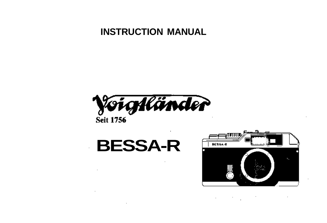#### **INSTRUCTION MANUAL**



 $\cdot$ 

# **BESSA-R**

 $\sim$ 



 $\sim$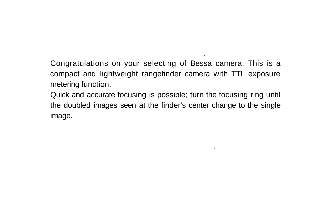Congratulations on your selecting of Bessa camera. This is a compact and lightweight rangefinder camera with TTL exposure metering function.

Quick and accurate focusing is possible; turn the focusing ring until the doubled images seen at the finder's center change to the single image.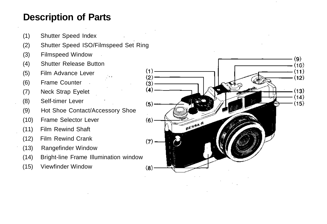## **Description of Parts**

- (1) Shutter Speed Index
- (2) Shutter Speed ISO/Filmspeed Set Ring
- (3) Filmspeed Window
- (4) Shutter Release Button
- (5) Film Advance Lever
- (6) Frame Counter
- (7) Neck Strap Eyelet
- (8) Self-timer Lever
- (9) Hot Shoe Contact/Accessory Shoe
- (10) Frame Selector Lever
- (11) Film Rewind Shaft
- (12) Film Rewind Crank
- (13) Rangefinder Window
- (14) Bright-line Frame Illumination window
- (15) Viewfinder Window

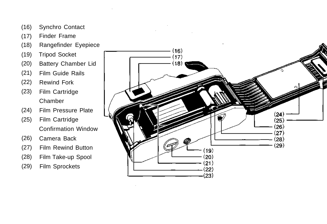- (16) Synchro Contact
- (17) Finder Frame
- (18) Rangefinder Eyepiece
- (19) Tripod Socket
- (20) Battery Chamber Lid
- (21) Film Guide Rails
- (22) Rewind Fork
- (23) Film Cartridge Chamber
- (24) Film Pressure Plate
- (25) Film Cartridge Confirmation Window
- (26) Camera Back
- (27) Film Rewind Button
- (28) Film Take-up Spool
- (29) Film Sprockets

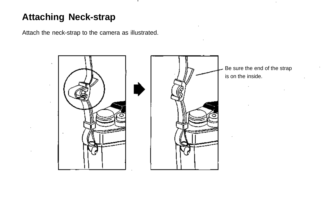#### **Attaching Neck-strap**

Attach the neck-strap to the camera as illustrated.

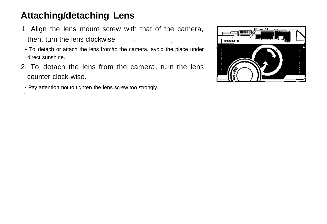#### **Attaching/detaching Lens**

- 1. Align the lens mount screw with that of the camera, then, turn the lens clockwise.
- To detach or attach the lens from/to the camera, avoid the place under direct sunshine.
- 2. To detach the lens from the camera, turn the lens counter clock-wise.
	- Pay attention not to tighten the lens screw too strongly.

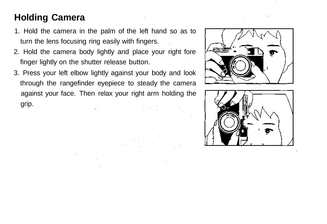#### **Holding Camera**

- 1. Hold the camera in the palm of the left hand so as to turn the lens focusing ring easily with fingers.
- 2. Hold the camera body lightly and place your right fore finger lightly on the shutter release button.
- 3. Press your left elbow lightly against your body and look through the rangefinder eyepiece to steady the camera against your face. Then relax your right arm holding the grip.



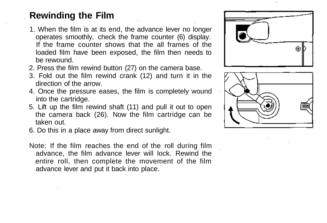#### **Rewinding the Film**

- 1. When the film is at its end, the advance lever no longer operates smoothly, check the frame counter (6) display. If the frame counter shows that the all frames of the loaded film have been exposed, the film then needs to be rewound.
- 2. Press the film rewind button (27) on the camera base.
- 3. Fold out the film rewind crank (12) and turn it in the direction of the arrow.
- 4. Once the pressure eases, the film is completely wound into the cartridge.
- 5. Lift up the film rewind shaft (11) and pull it out to open the camera back (26). Now the film cartridge can be taken out.
- 6. Do this in a place away from direct sunlight.
- Note: If the film reaches the end of the roll during film advance, the film advance lever will lock. Rewind the entire roll, then complete the movement of the film advance lever and put it back into place.



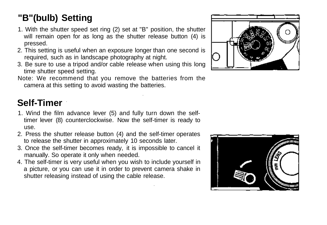### **"B"(bulb) Setting**

- 1. With the shutter speed set ring (2) set at "B" position, the shutter will remain open for as long as the shutter release button (4) is pressed.
- 2. This setting is useful when an exposure longer than one second is required, such as in landscape photography at night.
- 3. Be sure to use a tripod and/or cable release when using this long time shutter speed setting.
- Note: We recommend that you remove the batteries from the camera at this setting to avoid wasting the batteries.

#### **Self-Timer**

- 1. Wind the film advance lever (5) and fully turn down the selftimer lever (8) counterclockwise. Now the self-timer is ready to use.
- 2. Press the shutter release button (4) and the self-timer operates to release the shutter in approximately 10 seconds later.
- 3. Once the self-timer becomes ready, it is impossible to cancel it manually. So operate it only when needed.
- 4. The self-timer is very useful when you wish to include yourself in a picture, or you can use it in order to prevent camera shake in shutter releasing instead of using the cable release.



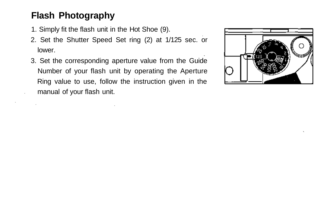#### **Flash Photography**

- 1. Simply fit the flash unit in the Hot Shoe (9).
- 2. Set the Shutter Speed Set ring (2) at 1/125 sec. or lower.
- 3. Set the corresponding aperture value from the Guide Number of your flash unit by operating the Aperture Ring value to use, follow the instruction given in the manual of your flash unit.